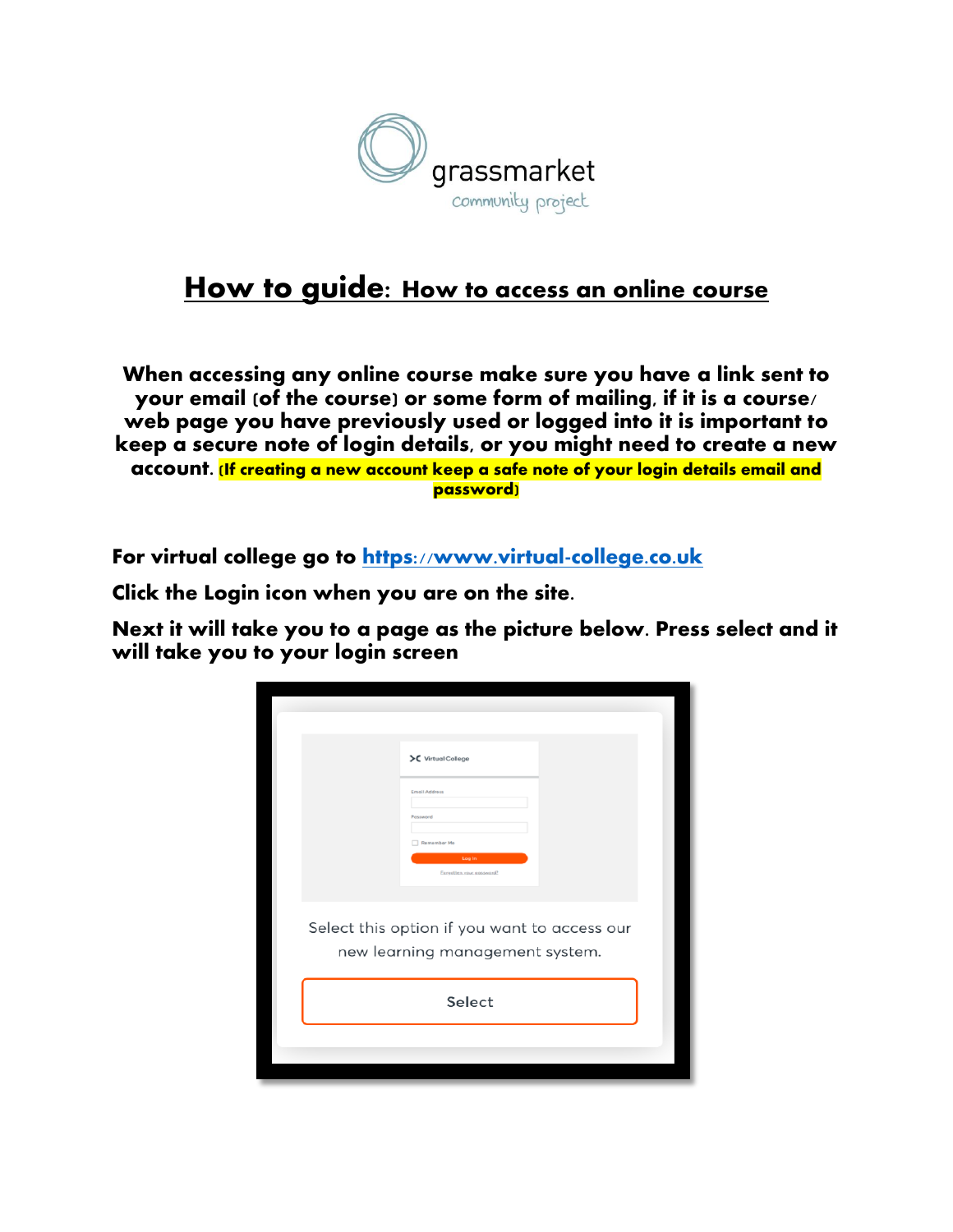

## How to guide: How to access an online course

**When accessing any online course make sure you have a link sent to your email (of the course) or some form of mailing, if it is a course/ web page you have previously used or logged into it is important to keep a secure note of login details, or you might need to create a new account.** (If creating a new account keep a safe note of your login details email and password)

For virtual college go to [https://www.virtual-college.co.uk](https://www.virtual-college.co.uk/)

Click the Login icon when you are on the site.

Next it will take you to a page as the picture below. Press select and it will take you to your login screen

| >C Virtual College                                                              |
|---------------------------------------------------------------------------------|
| <b>Email Address</b>                                                            |
| Password<br>Remember Me                                                         |
| Log In<br>Forgotten your password?                                              |
| Select this option if you want to access our<br>new learning management system. |
|                                                                                 |
| Select                                                                          |
|                                                                                 |